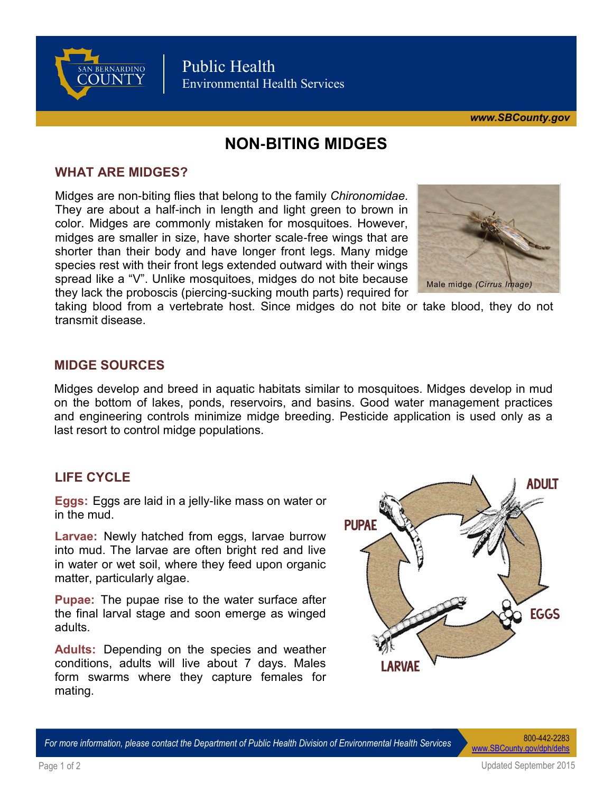

Public Health Environmental Health Services

*[www.SBCounty.gov](http://www.SBCounty.gov)*

# **NON-BITING MIDGES**

# **WHAT ARE MIDGES?**

Midges are non-biting flies that belong to the family *Chironomidae.*  They are about a half-inch in length and light green to brown in color. Midges are commonly mistaken for mosquitoes. However, midges are smaller in size, have shorter scale-free wings that are shorter than their body and have longer front legs. Many midge species rest with their front legs extended outward with their wings spread like a "V". Unlike mosquitoes, midges do not bite because they lack the proboscis (piercing-sucking mouth parts) required for



taking blood from a vertebrate host. Since midges do not bite or take blood, they do not transmit disease.

# **MIDGE SOURCES**

Midges develop and breed in aquatic habitats similar to mosquitoes. Midges develop in mud on the bottom of lakes, ponds, reservoirs, and basins. Good water management practices and engineering controls minimize midge breeding. Pesticide application is used only as a last resort to control midge populations.

**Eggs:** Eggs are laid in a jelly-like mass on water or in the mud.

**Larvae:** Newly hatched from eggs, larvae burrow into mud. The larvae are often bright red and live in water or wet soil, where they feed upon organic matter, particularly algae.

**Pupae:** The pupae rise to the water surface after the final larval stage and soon emerge as winged adults.

**Adults:** Depending on the species and weather conditions, adults will live about 7 days. Males form swarms where they capture females for mating.



*For more information, please contact the Department of Public Health Division of Environmental Health Services* 800-442-2283

www.SBCounty.gov/dph/deh